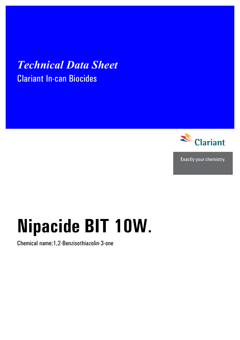## **Technical Data Sheet Clariant In-can Biocides**



Exactly your chemistry.

# Nipacide BIT 10W.

Chemical name: 1, 2-Benzisothiazolin-3-one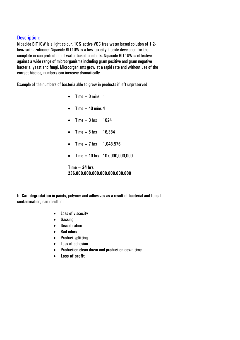#### Description;

Nipacide BIT10W is a light colour, 10% active VOC free water based solution of 1,2 benzisothiazolinone; Nipacide BIT10W is a low toxicity biocide developed for the complete in-can protection of water based products. Nipacide BIT10W is effective against a wide range of microorganisms including gram positive and gram negative bacteria, yeast and fungi. Microorganisms grow at a rapid rate and without use of the correct biocide, numbers can increase dramatically.

Example of the numbers of bacteria able to grow in products if left unpreserved

- $\bullet$  Time = 0 mins 1
- Time  $= 40$  mins 4
- Time =  $3 \text{ hrs}$  1024
- Time =  $5 \text{ hrs}$  16,384
- Time = 7 hrs  $1,048,576$
- Time = 10 hrs 107,000,000,000

**Time = 24 hrs 236,000,000,000,000,000,000,000** 

**In-Can degradation** in paints, polymer and adhesives as a result of bacterial and fungal contamination, can result in:

- Loss of viscosity
- Gassing
- Discoloration
- Bad odors
- Product splitting
- Loss of adhesion
- Production clean down and production down time
- **Loss of profit**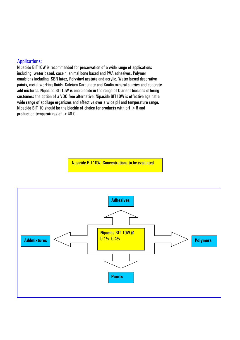#### Applications;

Nipacide BIT10W is recommended for preservation of a wide range of applications including, water based, casein, animal bone based and PVA adhesives. Polymer emulsions including, SBR latex, Polyvinyl acetate and acrylic. Water based decorative paints, metal working fluids, Calcium Carbonate and Kaolin mineral slurries and concrete add-mixtures. Nipacide BIT10W is one biocide in the range of Clariant biocides offering customers the option of a VOC free alternative. Nipacide BIT10W is effective against a wide range of spoilage organisms and effective over a wide pH and temperature range. Nipacide BIT 10 should be the biocide of choice for products with  $pH > 8$  and production temperatures of  $>40$  C.

Nipacide BIT10W. Concentrations to be evaluated

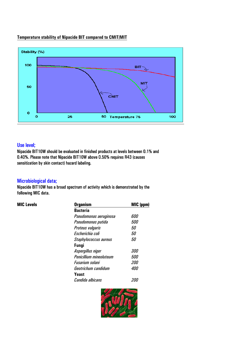#### **Temperature stability of Nipacide BIT compared to CMIT/MIT**



#### Use level;

Nipacide BIT10W should be evaluated in finished products at levels between 0.1% and 0.40%. Please note that Nipacide BIT10W above 0.50% requires R43 (causes sensitization by skin contact) hazard labeling.

#### Microbiological data;

Nipacide BIT10W has a broad spectrum of activity which is demonstrated by the following MIC data.

| <b>MIC Levels</b> | <b>Organism</b>         | MIC (ppm)  |  |  |
|-------------------|-------------------------|------------|--|--|
|                   | <b>Bacteria</b>         |            |  |  |
|                   | Pseudomonas aeruginosa  | 600        |  |  |
|                   | Pseudomonas putida      | <i>500</i> |  |  |
|                   | <b>Proteus vulgaris</b> | 50<br>50   |  |  |
|                   | Escherichia coli        |            |  |  |
|                   | Staphylococcus aureus   | 50         |  |  |
|                   | <b>Fungi</b>            |            |  |  |
|                   | Aspergillus niger       | <i>300</i> |  |  |
|                   | Penicillium mineoluteum | <i>500</i> |  |  |
|                   | Fusarium solani         | <i>200</i> |  |  |
|                   | Geotrichum candidum     | <i>400</i> |  |  |
|                   | Yeast                   |            |  |  |
|                   | Candida albicans        | 200        |  |  |

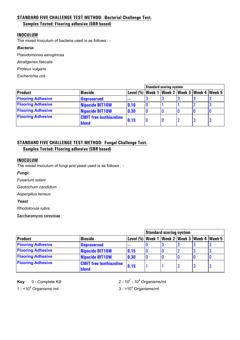#### **STANDARD FIVE CHALLENGE TEST METHOD: Bacterial Challenge Test.**

#### **Samples Tested: Flooring adhesive (SBR based)**

#### **INOCULUM**

The mixed Inoculum of bacteria used is as follows : -

#### *Bacteria:*

*Pseudomonas aeruginosa*

*Alcaligenes faecalis* 

*Proteus vulgaris* 

*Escherichia coli* 

|                          |                                         |                                                        | <b>Standard scoring system</b> |  |  |   |   |
|--------------------------|-----------------------------------------|--------------------------------------------------------|--------------------------------|--|--|---|---|
| <b>Product</b>           | <b>Biocide</b>                          | Level (%)   Week 1   Week 2   Week 3   Week 4   Week 5 |                                |  |  |   |   |
| <b>Flooring Adhesive</b> | <b>Unpreserved</b>                      | $- - -$                                                |                                |  |  |   |   |
| <b>Flooring Adhesive</b> | Nipacide BIT10W                         | 0.10                                                   |                                |  |  |   | 3 |
| <b>Flooring Adhesive</b> | Nipacide BIT10W                         | 0.30                                                   |                                |  |  | 0 |   |
| <b>Flooring Adhesive</b> | <b>CMIT free Isothiazoline</b><br>blend | 0.15                                                   |                                |  |  | 3 | 3 |

#### **STANDARD FIVE CHALLENGE TEST METHOD: Fungal Challenge Test.**

**Samples Tested: Flooring adhesive (SBR based)**

#### **INOCULUM**

The mixed Inoculum of fungi and yeast used is as follows : -

#### *Fungi:*

*Fusarium solani* 

*Geotrichum candidum*

*Aspergillus terreus* 

*Yeast*

*Rhodotorula rubra* 

Saccharomyces cerevisiae

|                          |                                                |                                                        | <b>Standard scoring system</b> |  |  |   |   |
|--------------------------|------------------------------------------------|--------------------------------------------------------|--------------------------------|--|--|---|---|
| <b>Product</b>           | <b>Biocide</b>                                 | Level (%)   Week 1   Week 2   Week 3   Week 4   Week 5 |                                |  |  |   |   |
| <b>Flooring Adhesive</b> | <b>Unpreserved</b>                             | <b>COMPANY</b>                                         |                                |  |  |   |   |
| <b>Flooring Adhesive</b> | <b>Nipacide BIT10W</b>                         | 0.15                                                   | IJ                             |  |  |   |   |
| <b>Flooring Adhesive</b> | Nipacide BIT10W                                | 0.30                                                   |                                |  |  |   |   |
| <b>Flooring Adhesive</b> | <b>CMIT free Isothiazoline</b><br><b>blend</b> | 0.15                                                   |                                |  |  | 3 | J |

**Key:** 0 - Complete Kill

- 10<sup>4</sup> Organisms/ml

1 -  $<$ 10<sup>2</sup> Organisms /ml 3 - >10<sup>4</sup>

 $3 - 10<sup>4</sup>$  Organisms/ml